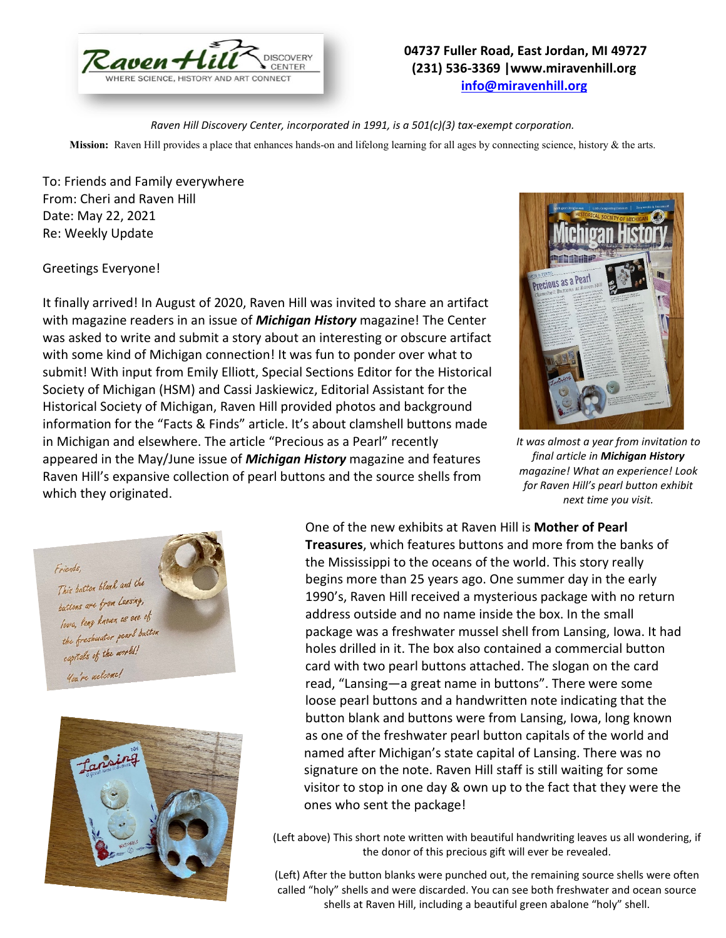

## **04737 Fuller Road, East Jordan, MI 49727 (231) 536-3369 |www.miravenhill.org [info@miravenhill.org](mailto:info@miravenhill.org)**

*Raven Hill Discovery Center, incorporated in 1991, is a 501(c)(3) tax-exempt corporation.*

**Mission:** Raven Hill provides a place that enhances hands-on and lifelong learning for all ages by connecting science, history & the arts.

To: Friends and Family everywhere From: Cheri and Raven Hill Date: May 22, 2021 Re: Weekly Update

Greetings Everyone!

It finally arrived! In August of 2020, Raven Hill was invited to share an artifact with magazine readers in an issue of *Michigan History* magazine! The Center was asked to write and submit a story about an interesting or obscure artifact with some kind of Michigan connection! It was fun to ponder over what to submit! With input from Emily Elliott, Special Sections Editor for the Historical Society of Michigan (HSM) and Cassi Jaskiewicz, Editorial Assistant for the Historical Society of Michigan, Raven Hill provided photos and background information for the "Facts & Finds" article. It's about clamshell buttons made in Michigan and elsewhere. The article "Precious as a Pearl" recently appeared in the May/June issue of *Michigan History* magazine and features Raven Hill's expansive collection of pearl buttons and the source shells from which they originated.



*It was almost a year from invitation to final article in Michigan History magazine! What an experience! Look for Raven Hill's pearl button exhibit next time you visit.* 





One of the new exhibits at Raven Hill is **Mother of Pearl Treasures**, which features buttons and more from the banks of the Mississippi to the oceans of the world. This story really begins more than 25 years ago. One summer day in the early 1990's, Raven Hill received a mysterious package with no return address outside and no name inside the box. In the small package was a freshwater mussel shell from Lansing, Iowa. It had holes drilled in it. The box also contained a commercial button card with two pearl buttons attached. The slogan on the card read, "Lansing—a great name in buttons". There were some loose pearl buttons and a handwritten note indicating that the button blank and buttons were from Lansing, Iowa, long known as one of the freshwater pearl button capitals of the world and named after Michigan's state capital of Lansing. There was no signature on the note. Raven Hill staff is still waiting for some visitor to stop in one day & own up to the fact that they were the ones who sent the package!

(Left above) This short note written with beautiful handwriting leaves us all wondering, if the donor of this precious gift will ever be revealed.

(Left) After the button blanks were punched out, the remaining source shells were often called "holy" shells and were discarded. You can see both freshwater and ocean source shells at Raven Hill, including a beautiful green abalone "holy" shell.